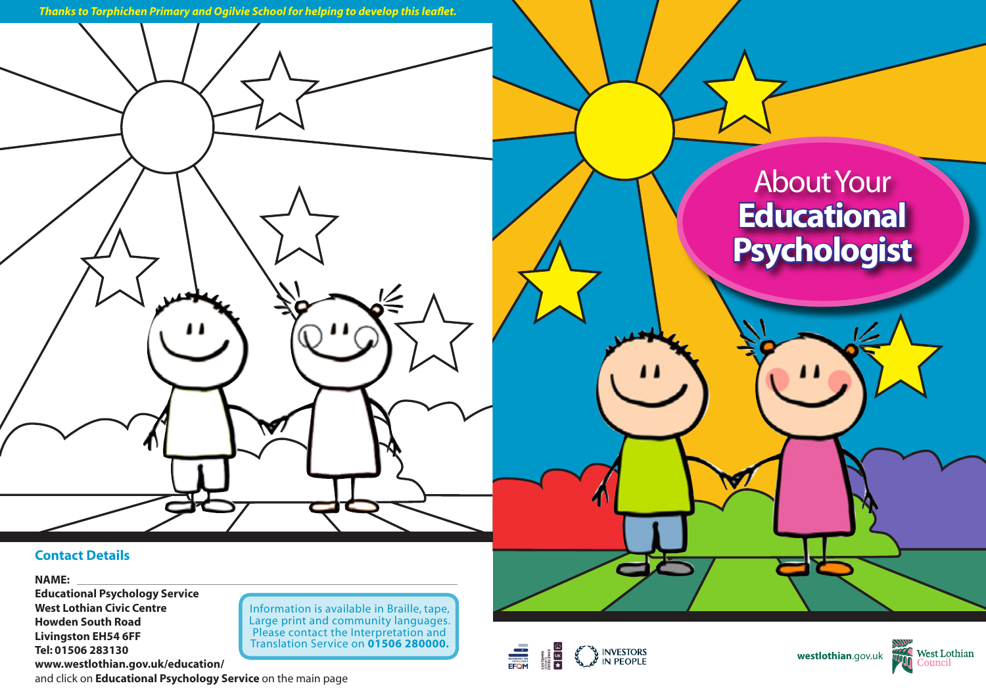# About Your **Educational Psychologist** *Thanks to Torphichen Primary and Ogilvie School for helping to develop this leaflet.*

### **Contact Details**

### **NAME:**

**Educational Psychology Service West Lothian Civic Centre Howden South Road Livingston EH54 6FF Tel: 01506 283130 www.westlothian.gov.uk/education/**  and click on **Educational Psychology Service** on the main page

Information is available in Braille, tape, Large print and community languages. Please contact the Interpretation and Translation Service on **01506 280000.**